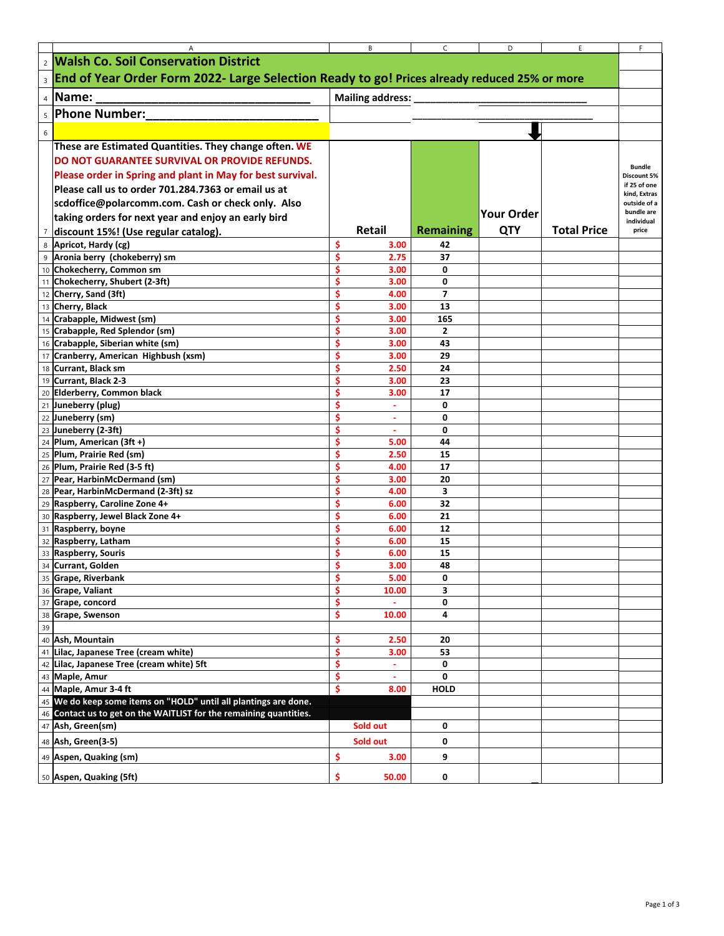|                | Α                                                                                              |         | В                | C                | D                 | E.                 | F                            |
|----------------|------------------------------------------------------------------------------------------------|---------|------------------|------------------|-------------------|--------------------|------------------------------|
|                | 2 Walsh Co. Soil Conservation District                                                         |         |                  |                  |                   |                    |                              |
|                | 3 End of Year Order Form 2022- Large Selection Ready to go! Prices already reduced 25% or more |         |                  |                  |                   |                    |                              |
|                | 4 Name:                                                                                        |         |                  |                  |                   |                    |                              |
|                |                                                                                                |         | Mailing address: |                  |                   |                    |                              |
|                | s Phone Number:                                                                                |         |                  |                  |                   |                    |                              |
| 6              |                                                                                                |         |                  |                  |                   |                    |                              |
|                | These are Estimated Quantities. They change often. WE                                          |         |                  |                  |                   |                    |                              |
|                | DO NOT GUARANTEE SURVIVAL OR PROVIDE REFUNDS.                                                  |         |                  |                  |                   |                    |                              |
|                | Please order in Spring and plant in May for best survival.                                     |         |                  |                  |                   |                    | <b>Bundle</b><br>Discount 5% |
|                | Please call us to order 701.284.7363 or email us at                                            |         |                  |                  |                   |                    | if 25 of one                 |
|                | scdoffice@polarcomm.com. Cash or check only. Also                                              |         |                  |                  |                   |                    | kind, Extras<br>outside of a |
|                | taking orders for next year and enjoy an early bird                                            |         |                  |                  | <b>Your Order</b> |                    | bundle are                   |
| $\overline{7}$ |                                                                                                |         | <b>Retail</b>    | <b>Remaining</b> | <b>QTY</b>        | <b>Total Price</b> | individual<br>price          |
|                | discount 15%! (Use regular catalog).                                                           | Ŝ       |                  | 42               |                   |                    |                              |
| 8<br>9         | Apricot, Hardy (cg)<br>Aronia berry (chokeberry) sm                                            | Ś       | 3.00<br>2.75     | 37               |                   |                    |                              |
|                | 10 Chokecherry, Common sm                                                                      | Ś       | 3.00             | 0                |                   |                    |                              |
|                | 11 Chokecherry, Shubert (2-3ft)                                                                | Ś       | 3.00             | 0                |                   |                    |                              |
|                | 12 Cherry, Sand (3ft)                                                                          | Ś       | 4.00             | 7                |                   |                    |                              |
|                | 13 Cherry, Black                                                                               | Ś       | 3.00             | 13               |                   |                    |                              |
|                | 14 Crabapple, Midwest (sm)                                                                     | Ś       | 3.00             | 165              |                   |                    |                              |
|                | 15 Crabapple, Red Splendor (sm)                                                                | \$      | 3.00             | 2                |                   |                    |                              |
|                | 16 Crabapple, Siberian white (sm)                                                              | \$      | 3.00             | 43               |                   |                    |                              |
|                | 17 Cranberry, American Highbush (xsm)                                                          | \$      | 3.00             | 29               |                   |                    |                              |
|                | 18 Currant, Black sm                                                                           | Ś       | 2.50             | 24               |                   |                    |                              |
|                | 19 Currant, Black 2-3                                                                          | \$      | 3.00             | 23               |                   |                    |                              |
|                | 20 Elderberry, Common black                                                                    | Ś       | 3.00             | 17               |                   |                    |                              |
|                | 21 Juneberry (plug)                                                                            |         | $\sim$           | 0                |                   |                    |                              |
|                | 22 Juneberry (sm)                                                                              | Ś       | $\blacksquare$   | 0                |                   |                    |                              |
|                | 23 Juneberry (2-3ft)                                                                           | Ś       | $\blacksquare$   | 0                |                   |                    |                              |
|                | 24 Plum, American (3ft +)                                                                      | Ś       | 5.00             | 44               |                   |                    |                              |
|                | 25 Plum, Prairie Red (sm)<br>26 Plum, Prairie Red (3-5 ft)                                     | Ś       | 2.50<br>4.00     | 15<br>17         |                   |                    |                              |
|                | 27 Pear, HarbinMcDermand (sm)                                                                  | Ś       | 3.00             | 20               |                   |                    |                              |
|                | 28 Pear, HarbinMcDermand (2-3ft) sz                                                            | Ŝ       | 4.00             | 3                |                   |                    |                              |
|                | 29 Raspberry, Caroline Zone 4+                                                                 | Ś       | 6.00             | 32               |                   |                    |                              |
|                | 30 Raspberry, Jewel Black Zone 4+                                                              | Ś       | 6.00             | 21               |                   |                    |                              |
|                | 31 Raspberry, boyne                                                                            | Ś       | 6.00             | 12               |                   |                    |                              |
|                | 32 Raspberry, Latham                                                                           | Ś       | 6.00             | 15               |                   |                    |                              |
|                | 33 Raspberry, Souris                                                                           | Ś       | 6.00             | 15               |                   |                    |                              |
|                | 34 Currant, Golden                                                                             | Ś       | 3.00             | 48               |                   |                    |                              |
|                | 35 Grape, Riverbank                                                                            | Ş       | 5.00             | 0                |                   |                    |                              |
|                | 36 Grape, Valiant                                                                              | \$      | 10.00            | 3                |                   |                    |                              |
|                | 37 Grape, concord                                                                              | \$      |                  | 0                |                   |                    |                              |
|                | 38 Grape, Swenson                                                                              | \$      | 10.00            | 4                |                   |                    |                              |
| 39             |                                                                                                |         |                  |                  |                   |                    |                              |
|                | 40 Ash, Mountain<br>41 Lilac, Japanese Tree (cream white)                                      | \$<br>Ŝ | 2.50<br>3.00     | 20<br>53         |                   |                    |                              |
|                | 42 Lilac, Japanese Tree (cream white) 5ft                                                      | \$      | $\blacksquare$   | 0                |                   |                    |                              |
|                | 43 Maple, Amur                                                                                 | \$      | ٠                | 0                |                   |                    |                              |
|                | 44 Maple, Amur 3-4 ft                                                                          | \$      | 8.00             | <b>HOLD</b>      |                   |                    |                              |
|                | 45 We do keep some items on "HOLD" until all plantings are done.                               |         |                  |                  |                   |                    |                              |
|                | 46 Contact us to get on the WAITLIST for the remaining quantities.                             |         |                  |                  |                   |                    |                              |
|                | 47 Ash, Green(sm)                                                                              |         | Sold out         | 0                |                   |                    |                              |
|                | 48 Ash, Green(3-5)                                                                             |         | Sold out         | 0                |                   |                    |                              |
|                | 49 Aspen, Quaking (sm)                                                                         | \$      | 3.00             | 9                |                   |                    |                              |
|                |                                                                                                |         |                  |                  |                   |                    |                              |
|                | 50 Aspen, Quaking (5ft)                                                                        | \$      | 50.00            | 0                |                   |                    |                              |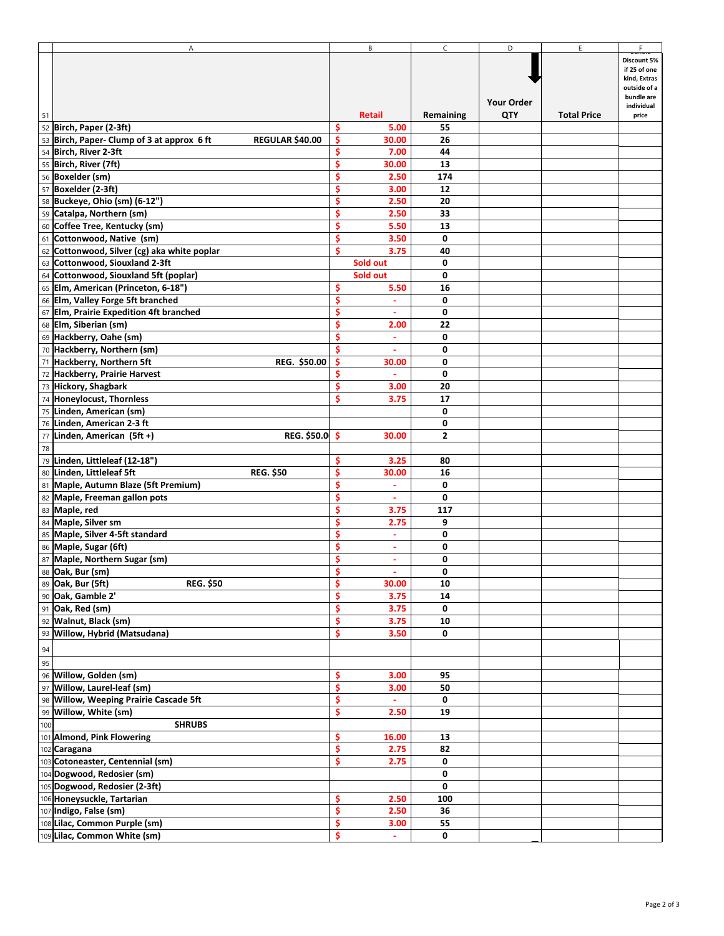| Α                                                                    |    | В                        | $\mathsf{C}$ | D                 | E.                 | F.           |
|----------------------------------------------------------------------|----|--------------------------|--------------|-------------------|--------------------|--------------|
|                                                                      |    |                          |              |                   |                    | Discount 5%  |
|                                                                      |    |                          |              |                   |                    | if 25 of one |
|                                                                      |    |                          |              |                   |                    | kind, Extras |
|                                                                      |    |                          |              |                   |                    | outside of a |
|                                                                      |    |                          |              | <b>Your Order</b> |                    | bundle are   |
|                                                                      |    |                          |              |                   |                    | individual   |
| 51                                                                   |    | Retail                   | Remaining    | QTY               | <b>Total Price</b> | price        |
| 52 Birch, Paper (2-3ft)                                              | Ŝ  | 5.00                     | 55           |                   |                    |              |
| 53 Birch, Paper- Clump of 3 at approx 6 ft<br><b>REGULAR \$40.00</b> | Ŝ  | 30.00                    | 26           |                   |                    |              |
|                                                                      |    |                          |              |                   |                    |              |
| 54 Birch, River 2-3ft                                                | \$ | 7.00                     | 44           |                   |                    |              |
| 55 Birch, River (7ft)                                                | Ŝ  | 30.00                    | 13           |                   |                    |              |
| 56 Boxelder (sm)                                                     | Ś  | 2.50                     | 174          |                   |                    |              |
| 57 Boxelder (2-3ft)                                                  | Ś  | 3.00                     | 12           |                   |                    |              |
|                                                                      |    |                          |              |                   |                    |              |
| 58 Buckeye, Ohio (sm) (6-12")                                        | Ś  | 2.50                     | 20           |                   |                    |              |
| 59 Catalpa, Northern (sm)                                            | Ś  | 2.50                     | 33           |                   |                    |              |
| 60 Coffee Tree, Kentucky (sm)                                        | Ś  | 5.50                     | 13           |                   |                    |              |
|                                                                      |    |                          |              |                   |                    |              |
| 61 Cottonwood, Native (sm)                                           | \$ | 3.50                     | 0            |                   |                    |              |
| 62 Cottonwood, Silver (cg) aka white poplar                          | \$ | 3.75                     | 40           |                   |                    |              |
| 63 Cottonwood, Siouxland 2-3ft                                       |    | Sold out                 | 0            |                   |                    |              |
|                                                                      |    |                          |              |                   |                    |              |
| 64 Cottonwood, Siouxland 5ft (poplar)                                |    | Sold out                 | 0            |                   |                    |              |
| 65 Elm, American (Princeton, 6-18")                                  | \$ | 5.50                     | 16           |                   |                    |              |
| 66 Elm, Valley Forge 5ft branched                                    | \$ | $\sim$                   | 0            |                   |                    |              |
|                                                                      | \$ |                          | 0            |                   |                    |              |
| 67 Elm, Prairie Expedition 4ft branched                              |    |                          |              |                   |                    |              |
| 68 Elm, Siberian (sm)                                                | \$ | 2.00                     | 22           |                   |                    |              |
| 69 Hackberry, Oahe (sm)                                              | \$ | $\blacksquare$           | 0            |                   |                    |              |
| 70 Hackberry, Northern (sm)                                          | \$ |                          | 0            |                   |                    |              |
|                                                                      |    |                          |              |                   |                    |              |
| 71 Hackberry, Northern 5ft<br><b>REG. \$50.00</b>                    | \$ | 30.00                    | 0            |                   |                    |              |
| 72 Hackberry, Prairie Harvest                                        | Ś  | $\omega$                 | 0            |                   |                    |              |
| 73 Hickory, Shagbark                                                 | \$ | 3.00                     | 20           |                   |                    |              |
|                                                                      | Ś  |                          |              |                   |                    |              |
| 74 Honeylocust, Thornless                                            |    | 3.75                     | 17           |                   |                    |              |
| 75 Linden, American (sm)                                             |    |                          | 0            |                   |                    |              |
| 76 Linden, American 2-3 ft                                           |    |                          | 0            |                   |                    |              |
|                                                                      |    | 30.00                    |              |                   |                    |              |
| 77 Linden, American (5ft +)<br>REG. \$50.0 \$                        |    |                          | 2            |                   |                    |              |
| ${\bf 78}$                                                           |    |                          |              |                   |                    |              |
| 79 Linden, Littleleaf (12-18")                                       | \$ | 3.25                     | 80           |                   |                    |              |
| 80 Linden, Littleleaf 5ft<br><b>REG. \$50</b>                        | \$ | 30.00                    | 16           |                   |                    |              |
|                                                                      |    |                          |              |                   |                    |              |
| 81 Maple, Autumn Blaze (5ft Premium)                                 | \$ | $\blacksquare$           | 0            |                   |                    |              |
| 82 Maple, Freeman gallon pots                                        | Ŝ  | $\sim$                   | 0            |                   |                    |              |
| 83 Maple, red                                                        | Ś  | 3.75                     | 117          |                   |                    |              |
|                                                                      | Ś  |                          |              |                   |                    |              |
| 84 Maple, Silver sm                                                  |    | 2.75                     | 9            |                   |                    |              |
| 85 Maple, Silver 4-5ft standard                                      | \$ | $\overline{\phantom{a}}$ | 0            |                   |                    |              |
| 86 Maple, Sugar (6ft)                                                | \$ | ٠                        | 0            |                   |                    |              |
| 87 Maple, Northern Sugar (sm)                                        | \$ | ۰                        | 0            |                   |                    |              |
|                                                                      |    |                          |              |                   |                    |              |
| 88 Oak, Bur (sm)                                                     | Ş  | $\bullet$                | 0            |                   |                    |              |
| 89 Oak, Bur (5ft)<br><b>REG. \$50</b>                                | \$ | 30.00                    | 10           |                   |                    |              |
| 90 Oak, Gamble 2'                                                    | \$ | 3.75                     | 14           |                   |                    |              |
| 91 Oak, Red (sm)                                                     | \$ |                          | 0            |                   |                    |              |
|                                                                      |    | 3.75                     |              |                   |                    |              |
| 92 Walnut, Black (sm)                                                | \$ | 3.75                     | 10           |                   |                    |              |
| 93 Willow, Hybrid (Matsudana)                                        | \$ | 3.50                     | 0            |                   |                    |              |
|                                                                      |    |                          |              |                   |                    |              |
| $\frac{94}{95}$                                                      |    |                          |              |                   |                    |              |
|                                                                      |    |                          |              |                   |                    |              |
| 96 Willow, Golden (sm)                                               | \$ | 3.00                     | 95           |                   |                    |              |
|                                                                      |    |                          |              |                   |                    |              |
| 97 Willow, Laurel-leaf (sm)                                          | \$ | 3.00                     | 50           |                   |                    |              |
| 98 Willow, Weeping Prairie Cascade 5ft                               | \$ | $\omega$                 | 0            |                   |                    |              |
| 99 Willow, White (sm)                                                | \$ | 2.50                     | 19           |                   |                    |              |
|                                                                      |    |                          |              |                   |                    |              |
| 100<br><b>SHRUBS</b>                                                 |    |                          |              |                   |                    |              |
| 101 Almond, Pink Flowering                                           | \$ | 16.00                    | 13           |                   |                    |              |
| 102 Caragana                                                         | \$ | 2.75                     | 82           |                   |                    |              |
|                                                                      |    |                          |              |                   |                    |              |
| 103 Cotoneaster, Centennial (sm)                                     | \$ | 2.75                     | 0            |                   |                    |              |
| 104 Dogwood, Redosier (sm)                                           |    |                          | 0            |                   |                    |              |
| 105 Dogwood, Redosier (2-3ft)                                        |    |                          | 0            |                   |                    |              |
| 106 Honeysuckle, Tartarian                                           | \$ | 2.50                     | 100          |                   |                    |              |
|                                                                      |    |                          |              |                   |                    |              |
| 107 Indigo, False (sm)                                               | \$ | 2.50                     | 36           |                   |                    |              |
| 108 Lilac, Common Purple (sm)                                        | \$ | 3.00                     | 55           |                   |                    |              |
| 109 Lilac, Common White (sm)                                         | \$ |                          | 0            |                   |                    |              |
|                                                                      |    |                          |              |                   |                    |              |